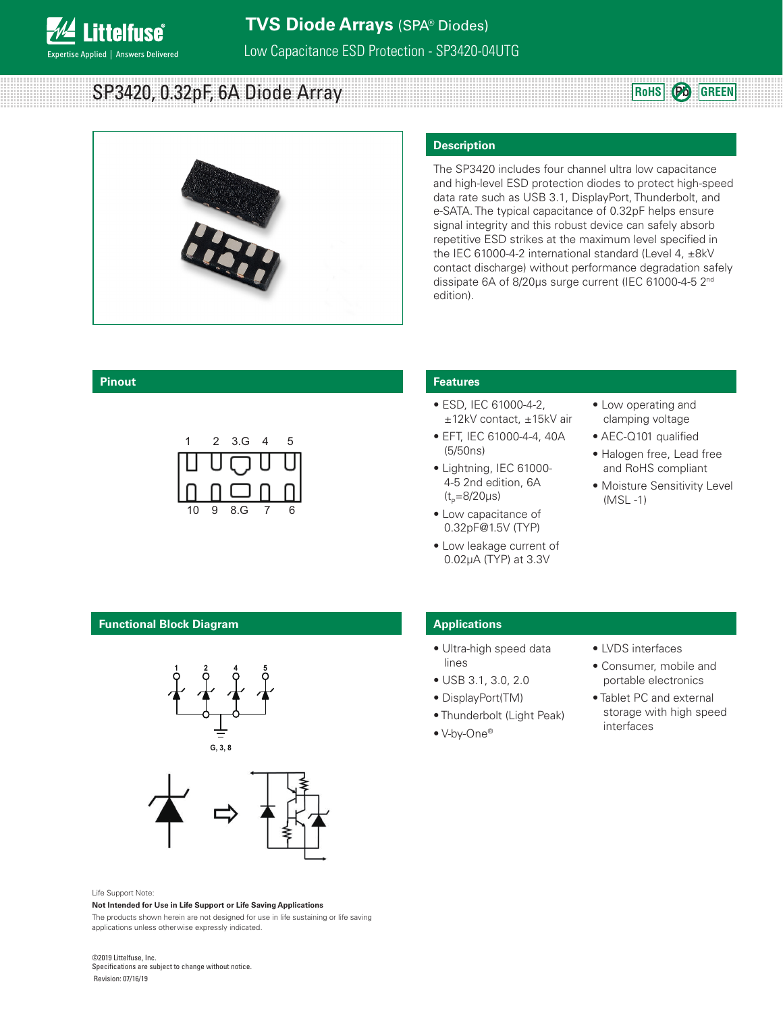

**1 2**

**G**

**SP3420, 0.32pF, 6A Diode Array**  BBC **ROMS ROHS PD GREEN** 



#### **Description**

The SP3420 includes four channel ultra low capacitance and high-level ESD protection diodes to protect high-speed data rate such as USB 3.1, DisplayPort, Thunderbolt, and e-SATA. The typical capacitance of 0.32pF helps ensure signal integrity and this robust device can safely absorb repetitive ESD strikes at the maximum level specified in the IEC 61000-4-2 international standard (Level 4,  $\pm$ 8kV contact discharge) without performance degradation safely dissipate 6A of 8/20μs surge current (IEC 61000-4-5 2<sup>nd</sup> edition).

#### **Pinout**



**3**

#### **Features**

- ESD, IEC 61000-4-2, ±12kV contact, ±15kV air
- EFT, IEC 61000-4-4, 40A (5/50ns) **3 2 1**
	- Lightning, IEC 61000- 4-5 2nd edition, 6A  $(t_{p}=8/20 \mu s)$
- Low capacitance of 0.32pF@1.5V (TYP) **4 5 6**
	- Low leakage current of 0.02μA (TYP) at 3.3V
- Low operating and clamping voltage
- AEC-Q101 qualified
- Halogen free, Lead free and RoHS compliant
- Moisture Sensitivity Level (MSL -1)

#### **Functional Block Diagram**





#### Life Support Note:

#### **Not Intended for Use in Life Support or Life Saving Applications**

The products shown herein are not designed for use in life sustaining or life saving applications unless otherwise expressly indicated.

#### ©2019 Littelfuse, Inc. Specifications are subject to change without notice.

Revision: 07/16/19

## **Applications**

- Ultra-high speed data lines
- USB 3.1, 3.0, 2.0
- DisplayPort(TM)
- Thunderbolt (Light Peak)
- V-by-One®
- LVDS interfaces
- Consumer, mobile and portable electronics
- Tablet PC and external storage with high speed interfaces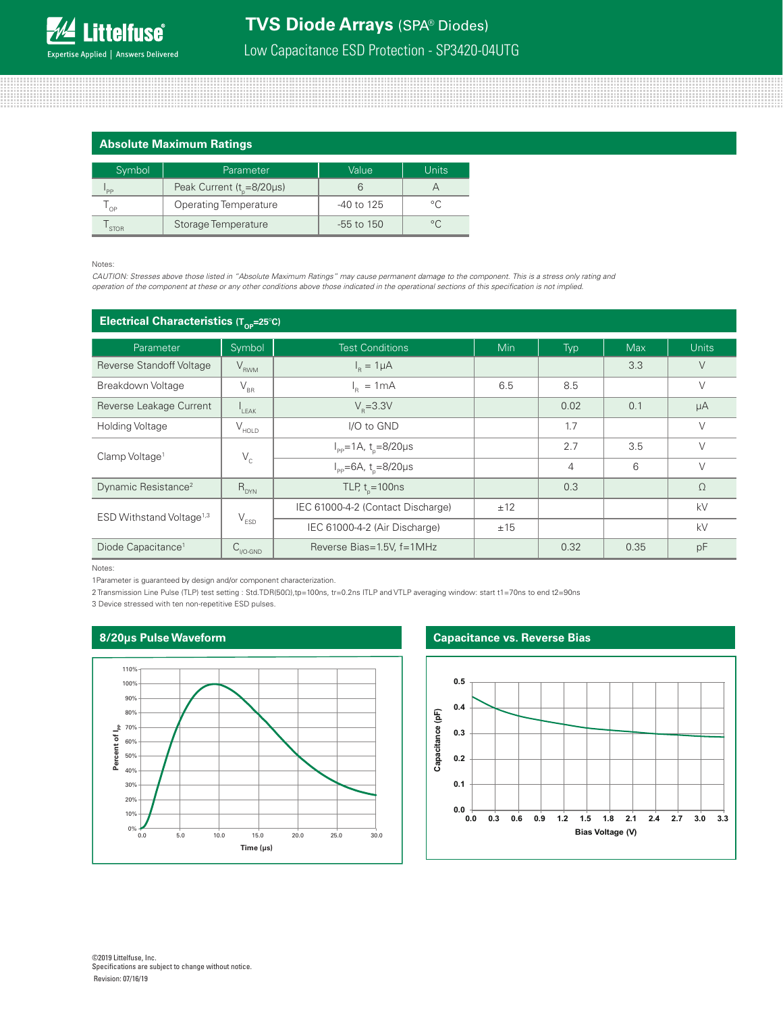# **TVS Diode Arrays** (SPA® Diodes)

Low Capacitance ESD Protection - SP3420-04UTG

#### **Absolute Maximum Ratings**

| Symbol      | Parameter                              | Value        | <b>Units</b>   |
|-------------|----------------------------------------|--------------|----------------|
| 'PP         | Peak Current ( $t_{\text{g}}$ =8/20µs) |              |                |
| OP          | <b>Operating Temperature</b>           | $-40$ to 125 | $\circ$ $\cap$ |
| <b>STOR</b> | Storage Temperature                    | $-55$ to 150 |                |

#### Notes:

*CAUTION: Stresses above those listed in "Absolute Maximum Ratings" may cause permanent damage to the component. This is a stress only rating and operation of the component at these or any other conditions above those indicated in the operational sections of this specification is not implied.*

| Electrical Characteristics ( $T_{\text{co}}$ =25°C) |                                |                                               |            |                |            |              |
|-----------------------------------------------------|--------------------------------|-----------------------------------------------|------------|----------------|------------|--------------|
| Parameter                                           | Symbol                         | <b>Test Conditions</b>                        | <b>Min</b> | Typ            | <b>Max</b> | <b>Units</b> |
| Reverse Standoff Voltage                            | $V_{RWM}$                      | $I_R = 1 \mu A$                               |            |                | 3.3        | $\vee$       |
| Breakdown Voltage                                   | $\mathsf{V}_{\text{\tiny BR}}$ | $I_R = 1mA$                                   | 6.5        | 8.5            |            | $\vee$       |
| Reverse Leakage Current                             | $I_{LEAK}$                     | $V_{p} = 3.3V$                                |            | 0.02           | 0.1        | μA           |
| <b>Holding Voltage</b>                              | $V_{HOLD}$                     | I/O to GND                                    |            | 1.7            |            | $\vee$       |
| Clamp Voltage <sup>1</sup>                          |                                | $I_{\rm pp} = 1A$ , t <sub>n</sub> =8/20µs    |            | 2.7            | 3.5        | $\vee$       |
|                                                     | $\mathsf{V}_{\rm c}$           | $I_{\text{pp}} = 6A$ , t <sub>n</sub> =8/20µs |            | $\overline{4}$ | 6          | $\vee$       |
| Dynamic Resistance <sup>2</sup>                     | $R_{DYN}$                      | TLP, $t_{n} = 100$ ns                         |            | 0.3            |            | $\Omega$     |
| ESD Withstand Voltage <sup>1,3</sup>                |                                | IEC 61000-4-2 (Contact Discharge)             | ±12        |                |            | kV           |
|                                                     | $\mathsf{V}_{\texttt{ESD}}$    | IEC 61000-4-2 (Air Discharge)                 | ±15        |                |            | kV           |
| Diode Capacitance <sup>1</sup>                      | $C_{\text{IVO-GND}}$           | Reverse Bias=1.5V, f=1MHz                     |            | 0.32           | 0.35       | pF           |

Notes:

1Parameter is guaranteed by design and/or component characterization.

2 Transmission Line Pulse (TLP) test setting : Std.TDR(50Ω),tp=100ns, tr=0.2ns ITLP and VTLP averaging window: start t1=70ns to end t2=90ns

3 Device stressed with ten non-repetitive ESD pulses.

#### **8/20μs Pulse Waveform**



#### **Capacitance vs. Reverse Bias**

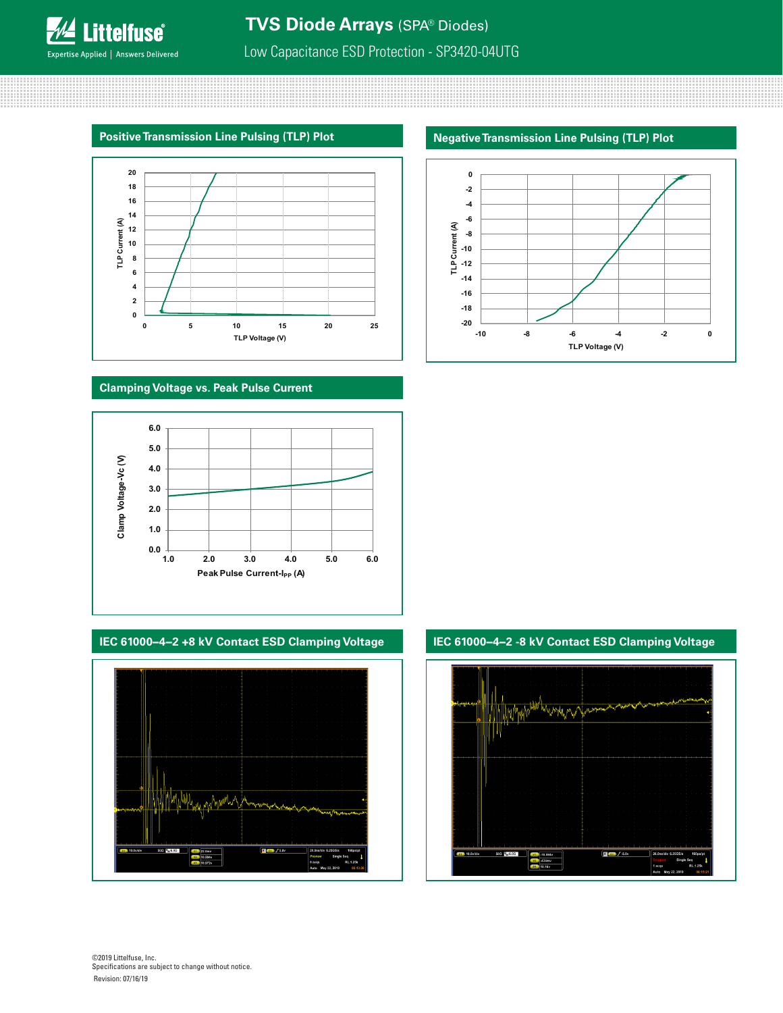**Littelfuse**® Expertise Applied | Answers Delivered

# Low Capacitance ESD Protection - SP3420-04UTG

### **Positive Transmission Line Pulsing (TLP) Plot**



#### **Clamping Voltage vs. Peak Pulse Current**





## **Negative Transmission Line Pulsing (TLP) Plot**



**IEC 61000−4−2 +8 kV Contact ESD Clamping Voltage IEC 61000−4−2 -8 kV Contact ESD Clamping Voltage**

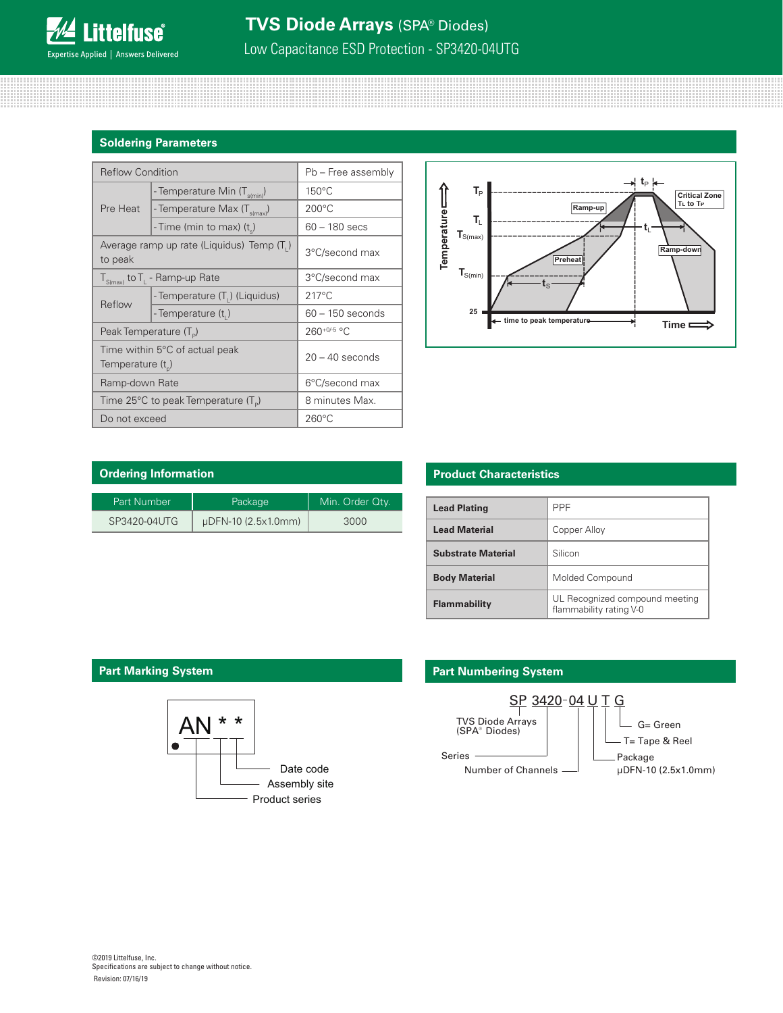# **TVS Diode Arrays** (SPA® Diodes)

Low Capacitance ESD Protection - SP3420-04UTG

#### **Soldering Parameters**

| <b>Reflow Condition</b>                                 |                                          | Pb - Free assembly |  |
|---------------------------------------------------------|------------------------------------------|--------------------|--|
| Pre Heat                                                | - Temperature Min (T <sub>s(min)</sub> ) | $150^{\circ}$ C    |  |
|                                                         | - Temperature Max (T <sub>s(max)</sub> ) | $200^{\circ}$ C    |  |
|                                                         | - Time (min to max) $(tn)$               | $60 - 180$ secs    |  |
| Average ramp up rate (Liquidus) Temp $(T_1)$<br>to peak |                                          | 3°C/second max     |  |
| $T_{S(max)}$ to $T_{L}$ - Ramp-up Rate                  |                                          | 3°C/second max     |  |
| Reflow                                                  | - Temperature (T,) (Liquidus)            | $217^{\circ}$ C    |  |
|                                                         | - Temperature (t,)                       | $60 - 150$ seconds |  |
| Peak Temperature (T <sub>D</sub> )                      |                                          | 260+0/-5 °C        |  |
| Time within 5°C of actual peak<br>Temperature $(t_n)$   |                                          | $20 - 40$ seconds  |  |
| Ramp-down Rate                                          |                                          | 6°C/second max     |  |
| Time 25°C to peak Temperature (T <sub>e</sub> )         |                                          | 8 minutes Max.     |  |
| Do not exceed                                           |                                          | $260^{\circ}$ C    |  |



| <b>Ordering Information</b> |                     |                 |
|-----------------------------|---------------------|-----------------|
| Part Number                 | Package             | Min. Order Qtv. |
| SP3420-04UTG                | µDFN-10 (2.5x1.0mm) | 3000            |

### **Product Characteristics**

| <b>Lead Plating</b>       | <b>PPF</b>                                                |
|---------------------------|-----------------------------------------------------------|
| <b>Lead Material</b>      | Copper Alloy                                              |
| <b>Substrate Material</b> | Silicon                                                   |
| <b>Body Material</b>      | Molded Compound                                           |
| <b>Flammability</b>       | UL Recognized compound meeting<br>flammability rating V-0 |



## **Part Marking System Part Marking System Part Numbering System**